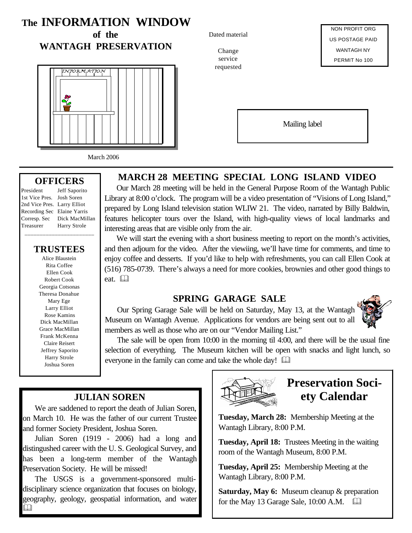## **The INFORMATION WINDOW**

**of the WANTAGH PRESERVATION**



March 2006

#### **OFFICERS**

President Jeff Saporito

1st Vice Pres. Josh Soren 2nd Vice Pres. Larry Elliot Recording Sec Elaine Yarris Corresp. Sec Dick MacMillan Treasurer Harry Strole \_\_\_\_\_\_\_\_\_\_\_\_\_\_\_\_\_\_\_\_\_\_\_

### **TRUSTEES**

Alice Blaustein Rita Coffee Ellen Cook Robert Cook Georgia Cotsonas Theresa Donahue Mary Ege Larry Elliot Rose Kamins Dick MacMillan Grace MacMillan Frank McKenna Claire Reisert Jeffrey Saporito Harry Strole Joshua Soren

## **MARCH 28 MEETING SPECIAL LONG ISLAND VIDEO**

Our March 28 meeting will be held in the General Purpose Room of the Wantagh Public Library at 8:00 o'clock. The program will be a video presentation of "Visions of Long Island," prepared by Long Island television station WLIW 21. The video, narrated by Billy Baldwin, features helicopter tours over the Island, with high-quality views of local landmarks and interesting areas that are visible only from the air.

We will start the evening with a short business meeting to report on the month's activities, and then adjourn for the video. After the viewiing, we'll have time for comments, and time to enjoy coffee and desserts. If you'd like to help with refreshments, you can call Ellen Cook at (516) 785-0739. There's always a need for more cookies, brownies and other good things to eat. <sup>[1]</sup>

### **SPRING GARAGE SALE**

Our Spring Garage Sale will be held on Saturday, May 13, at the Wantagh Museum on Wantagh Avenue. Applications for vendors are being sent out to all members as well as those who are on our "Vendor Mailing List."



The sale will be open from 10:00 in the morning til 4:00, and there will be the usual fine selection of everything. The Museum kitchen will be open with snacks and light lunch, so everyone in the family can come and take the whole day!  $\Box$ 

## **JULIAN SOREN**

We are saddened to report the death of Julian Soren, on March 10. He was the father of our current Trustee and former Society President, Joshua Soren.

Julian Soren (1919 - 2006) had a long and distingushed career with the U. S. Geological Survey, and has been a long-term member of the Wantagh Preservation Society. He will be missed!

The USGS is a government-sponsored multidisciplinary science organization that focuses on biology, geography, geology, geospatial information, and water  $\Box$ 



## **Preservation Society Calendar**

**Tuesday, March 28:** Membership Meeting at the Wantagh Library, 8:00 P.M.

**Tuesday, April 18:** Trustees Meeting in the waiting room of the Wantagh Museum, 8:00 P.M.

**Tuesday, April 25:** Membership Meeting at the Wantagh Library, 8:00 P.M.

**Saturday, May 6:** Museum cleanup & preparation for the May 13 Garage Sale,  $10:00$  A.M.  $\Box$ 

Dated material

Change service requested

NON PROFIT ORG US POSTAGE PAID WANTAGH NY PERMIT No 100

Mailing label